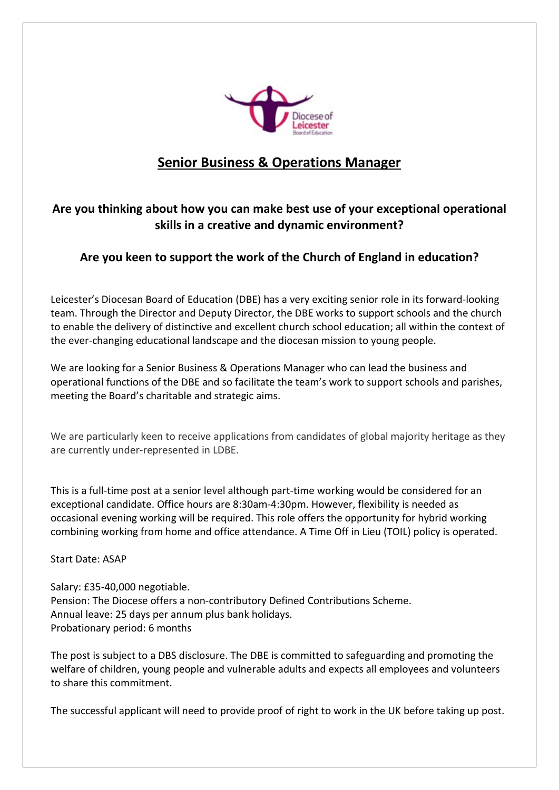

## **Senior Business & Operations Manager**

## **Are you thinking about how you can make best use of your exceptional operational skills in a creative and dynamic environment?**

## **Are you keen to support the work of the Church of England in education?**

Leicester's Diocesan Board of Education (DBE) has a very exciting senior role in its forward-looking team. Through the Director and Deputy Director, the DBE works to support schools and the church to enable the delivery of distinctive and excellent church school education; all within the context of the ever-changing educational landscape and the diocesan mission to young people.

We are looking for a Senior Business & Operations Manager who can lead the business and operational functions of the DBE and so facilitate the team's work to support schools and parishes, meeting the Board's charitable and strategic aims.

We are particularly keen to receive applications from candidates of global majority heritage as they are currently under-represented in LDBE.

This is a full-time post at a senior level although part-time working would be considered for an exceptional candidate. Office hours are 8:30am-4:30pm. However, flexibility is needed as occasional evening working will be required. This role offers the opportunity for hybrid working combining working from home and office attendance. A Time Off in Lieu (TOIL) policy is operated.

Start Date: ASAP

Salary: £35-40,000 negotiable. Pension: The Diocese offers a non-contributory Defined Contributions Scheme. Annual leave: 25 days per annum plus bank holidays. Probationary period: 6 months

The post is subject to a DBS disclosure. The DBE is committed to safeguarding and promoting the welfare of children, young people and vulnerable adults and expects all employees and volunteers to share this commitment.

The successful applicant will need to provide proof of right to work in the UK before taking up post.